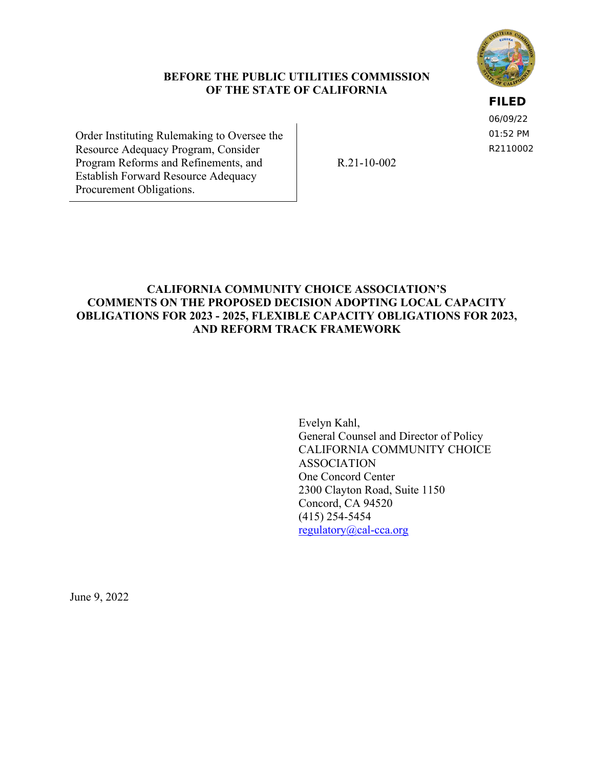

#### **BEFORE THE PUBLIC UTILITIES COMMISSION OF THE STATE OF CALIFORNIA**

### **FILED**

06/09/22 01:52 PM R2110002

Order Instituting Rulemaking to Oversee the Resource Adequacy Program, Consider Program Reforms and Refinements, and Establish Forward Resource Adequacy Procurement Obligations.

R.21-10-002

# **CALIFORNIA COMMUNITY CHOICE ASSOCIATION'S COMMENTS ON THE PROPOSED DECISION ADOPTING LOCAL CAPACITY OBLIGATIONS FOR 2023 - 2025, FLEXIBLE CAPACITY OBLIGATIONS FOR 2023, AND REFORM TRACK FRAMEWORK**

Evelyn Kahl, General Counsel and Director of Policy CALIFORNIA COMMUNITY CHOICE ASSOCIATION One Concord Center 2300 Clayton Road, Suite 1150 Concord, CA 94520 (415) 254-5454 [regulatory@cal-cca.org](mailto:regulatory@cal-cca.org)

June 9, 2022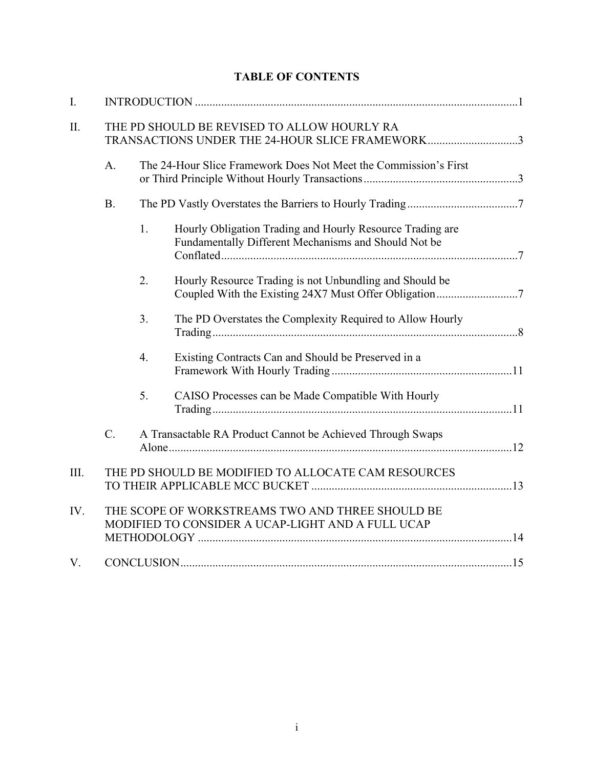|  | <b>TABLE OF CONTENTS</b> |
|--|--------------------------|
|--|--------------------------|

| $\mathbf{I}$ . |                                                                                                |    |                                                                                                                   |  |  |  |  |
|----------------|------------------------------------------------------------------------------------------------|----|-------------------------------------------------------------------------------------------------------------------|--|--|--|--|
| II.            | THE PD SHOULD BE REVISED TO ALLOW HOURLY RA<br>TRANSACTIONS UNDER THE 24-HOUR SLICE FRAMEWORK3 |    |                                                                                                                   |  |  |  |  |
|                | A.                                                                                             |    | The 24-Hour Slice Framework Does Not Meet the Commission's First                                                  |  |  |  |  |
|                | <b>B.</b>                                                                                      |    |                                                                                                                   |  |  |  |  |
|                |                                                                                                | 1. | Hourly Obligation Trading and Hourly Resource Trading are<br>Fundamentally Different Mechanisms and Should Not be |  |  |  |  |
|                |                                                                                                | 2. | Hourly Resource Trading is not Unbundling and Should be                                                           |  |  |  |  |
|                |                                                                                                | 3. | The PD Overstates the Complexity Required to Allow Hourly                                                         |  |  |  |  |
|                |                                                                                                | 4. | Existing Contracts Can and Should be Preserved in a                                                               |  |  |  |  |
|                |                                                                                                | 5. | CAISO Processes can be Made Compatible With Hourly                                                                |  |  |  |  |
|                | $C_{\cdot}$                                                                                    |    | A Transactable RA Product Cannot be Achieved Through Swaps                                                        |  |  |  |  |
| III.           |                                                                                                |    | THE PD SHOULD BE MODIFIED TO ALLOCATE CAM RESOURCES                                                               |  |  |  |  |
| IV.            |                                                                                                |    | THE SCOPE OF WORKSTREAMS TWO AND THREE SHOULD BE<br>MODIFIED TO CONSIDER A UCAP-LIGHT AND A FULL UCAP             |  |  |  |  |
| V.             |                                                                                                |    |                                                                                                                   |  |  |  |  |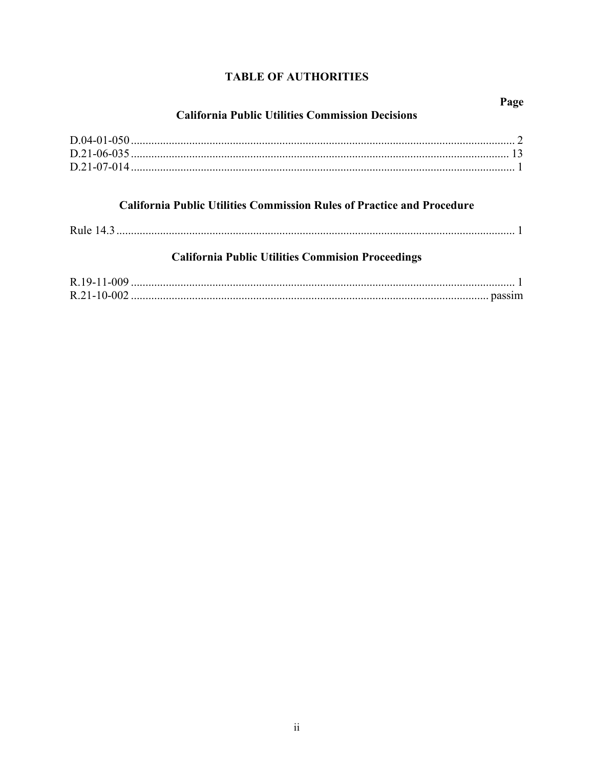# **TABLE OF AUTHORITIES**

# **California Public Utilities Commission Decisions**

Page

# **California Public Utilities Commission Rules of Practice and Procedure**

# **California Public Utilities Commision Proceedings**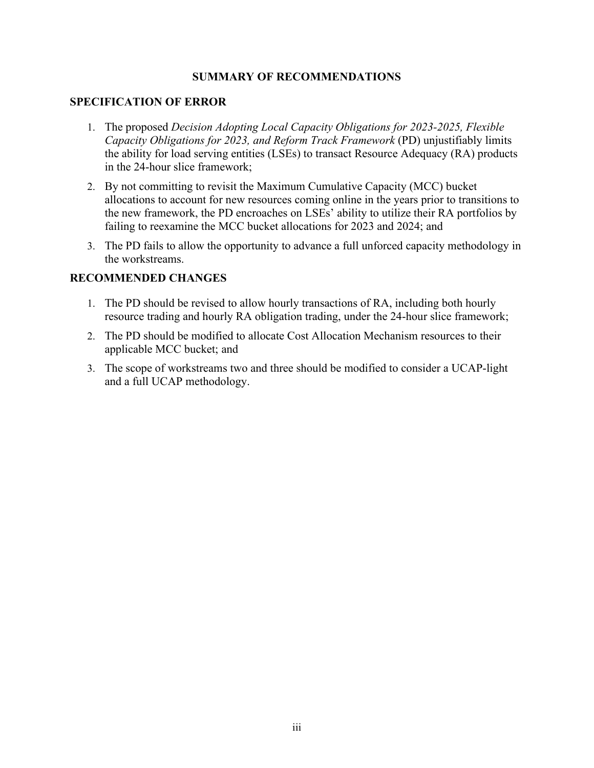### **SUMMARY OF RECOMMENDATIONS**

#### **SPECIFICATION OF ERROR**

- 1. The proposed *Decision Adopting Local Capacity Obligations for 2023-2025, Flexible Capacity Obligations for 2023, and Reform Track Framework* (PD) unjustifiably limits the ability for load serving entities (LSEs) to transact Resource Adequacy (RA) products in the 24-hour slice framework;
- 2. By not committing to revisit the Maximum Cumulative Capacity (MCC) bucket allocations to account for new resources coming online in the years prior to transitions to the new framework, the PD encroaches on LSEs' ability to utilize their RA portfolios by failing to reexamine the MCC bucket allocations for 2023 and 2024; and
- 3. The PD fails to allow the opportunity to advance a full unforced capacity methodology in the workstreams.

#### **RECOMMENDED CHANGES**

- 1. The PD should be revised to allow hourly transactions of RA, including both hourly resource trading and hourly RA obligation trading, under the 24-hour slice framework;
- 2. The PD should be modified to allocate Cost Allocation Mechanism resources to their applicable MCC bucket; and
- 3. The scope of workstreams two and three should be modified to consider a UCAP-light and a full UCAP methodology.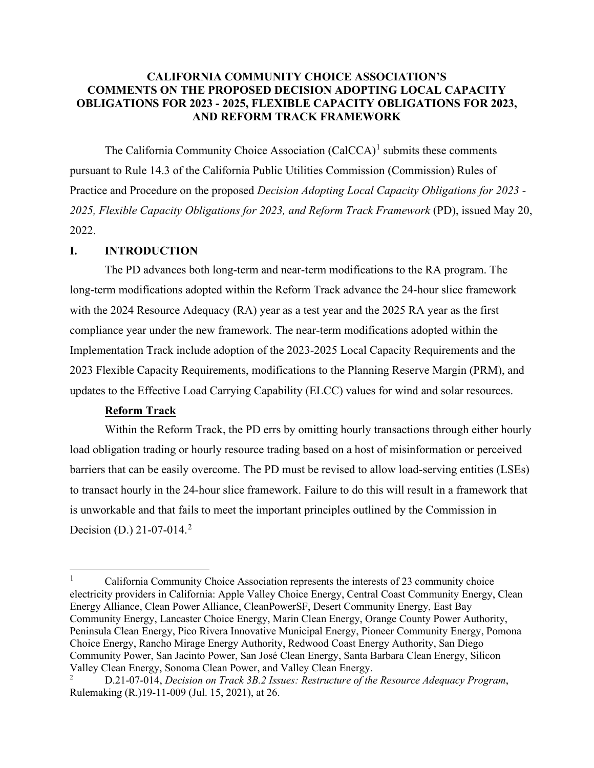### **CALIFORNIA COMMUNITY CHOICE ASSOCIATION'S COMMENTS ON THE PROPOSED DECISION ADOPTING LOCAL CAPACITY OBLIGATIONS FOR 2023 - 2025, FLEXIBLE CAPACITY OBLIGATIONS FOR 2023, AND REFORM TRACK FRAMEWORK**

The California Community Choice Association  $(CaICCA)^1$  $(CaICCA)^1$  submits these comments pursuant to Rule 14.3 of the California Public Utilities Commission (Commission) Rules of Practice and Procedure on the proposed *Decision Adopting Local Capacity Obligations for 2023 - 2025, Flexible Capacity Obligations for 2023, and Reform Track Framework* (PD), issued May 20, 2022.

#### <span id="page-4-0"></span>**I. INTRODUCTION**

The PD advances both long-term and near-term modifications to the RA program. The long-term modifications adopted within the Reform Track advance the 24-hour slice framework with the 2024 Resource Adequacy (RA) year as a test year and the 2025 RA year as the first compliance year under the new framework. The near-term modifications adopted within the Implementation Track include adoption of the 2023-2025 Local Capacity Requirements and the 2023 Flexible Capacity Requirements, modifications to the Planning Reserve Margin (PRM), and updates to the Effective Load Carrying Capability (ELCC) values for wind and solar resources.

#### **Reform Track**

Within the Reform Track, the PD errs by omitting hourly transactions through either hourly load obligation trading or hourly resource trading based on a host of misinformation or perceived barriers that can be easily overcome. The PD must be revised to allow load-serving entities (LSEs) to transact hourly in the 24-hour slice framework. Failure to do this will result in a framework that is unworkable and that fails to meet the important principles outlined by the Commission in Decision (D.) [2](#page-4-2)1-07-014.<sup>2</sup>

<span id="page-4-1"></span><sup>1</sup> California Community Choice Association represents the interests of 23 community choice electricity providers in California: Apple Valley Choice Energy, Central Coast Community Energy, Clean Energy Alliance, Clean Power Alliance, CleanPowerSF, Desert Community Energy, East Bay Community Energy, Lancaster Choice Energy, Marin Clean Energy, Orange County Power Authority, Peninsula Clean Energy, Pico Rivera Innovative Municipal Energy, Pioneer Community Energy, Pomona Choice Energy, Rancho Mirage Energy Authority, Redwood Coast Energy Authority, San Diego Community Power, San Jacinto Power, San José Clean Energy, Santa Barbara Clean Energy, Silicon Valley Clean Energy, Sonoma Clean Power, and Valley Clean Energy.

<span id="page-4-2"></span><sup>2</sup> D.21-07-014, *Decision on Track 3B.2 Issues: Restructure of the Resource Adequacy Program*, Rulemaking (R.)19-11-009 (Jul. 15, 2021), at 26.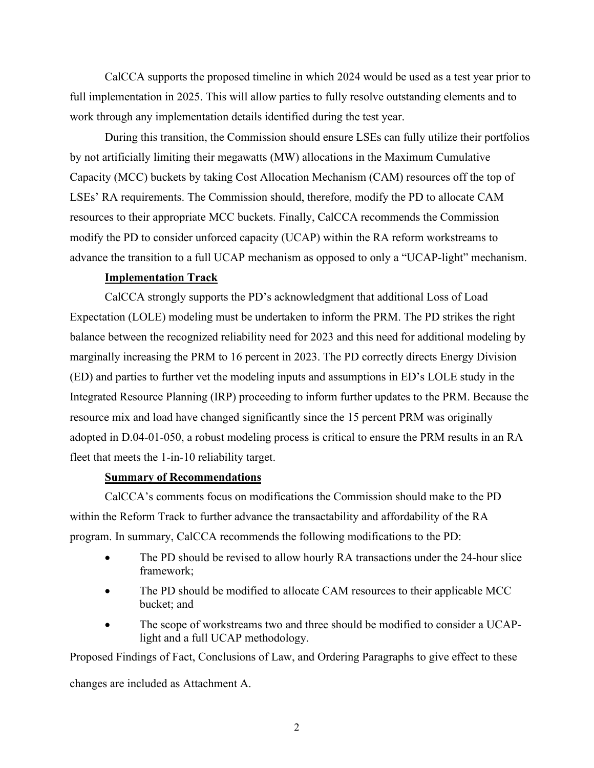CalCCA supports the proposed timeline in which 2024 would be used as a test year prior to full implementation in 2025. This will allow parties to fully resolve outstanding elements and to work through any implementation details identified during the test year.

During this transition, the Commission should ensure LSEs can fully utilize their portfolios by not artificially limiting their megawatts (MW) allocations in the Maximum Cumulative Capacity (MCC) buckets by taking Cost Allocation Mechanism (CAM) resources off the top of LSEs' RA requirements. The Commission should, therefore, modify the PD to allocate CAM resources to their appropriate MCC buckets. Finally, CalCCA recommends the Commission modify the PD to consider unforced capacity (UCAP) within the RA reform workstreams to advance the transition to a full UCAP mechanism as opposed to only a "UCAP-light" mechanism.

#### **Implementation Track**

CalCCA strongly supports the PD's acknowledgment that additional Loss of Load Expectation (LOLE) modeling must be undertaken to inform the PRM. The PD strikes the right balance between the recognized reliability need for 2023 and this need for additional modeling by marginally increasing the PRM to 16 percent in 2023. The PD correctly directs Energy Division (ED) and parties to further vet the modeling inputs and assumptions in ED's LOLE study in the Integrated Resource Planning (IRP) proceeding to inform further updates to the PRM. Because the resource mix and load have changed significantly since the 15 percent PRM was originally adopted in D.04-01-050, a robust modeling process is critical to ensure the PRM results in an RA fleet that meets the 1-in-10 reliability target.

#### **Summary of Recommendations**

CalCCA's comments focus on modifications the Commission should make to the PD within the Reform Track to further advance the transactability and affordability of the RA program. In summary, CalCCA recommends the following modifications to the PD:

- The PD should be revised to allow hourly RA transactions under the 24-hour slice framework;
- The PD should be modified to allocate CAM resources to their applicable MCC bucket; and
- The scope of workstreams two and three should be modified to consider a UCAPlight and a full UCAP methodology.

Proposed Findings of Fact, Conclusions of Law, and Ordering Paragraphs to give effect to these

changes are included as Attachment A.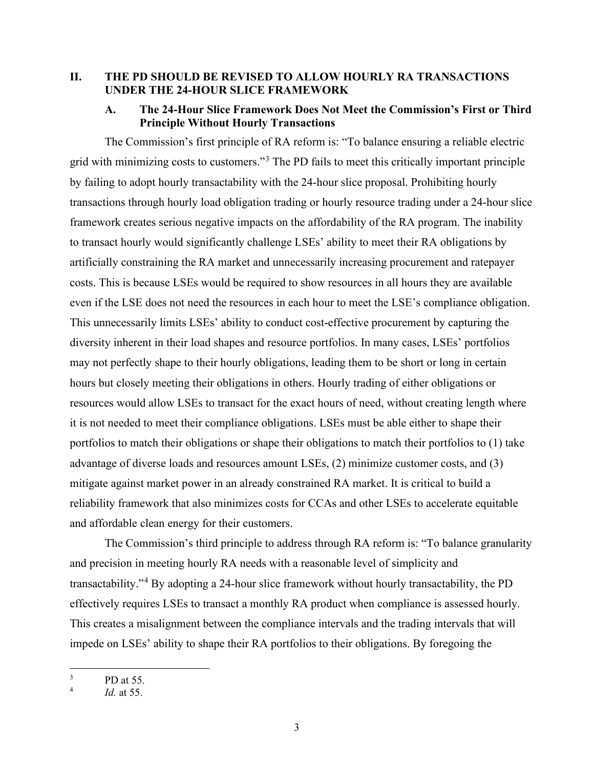### <span id="page-6-1"></span><span id="page-6-0"></span>**II. THE PD SHOULD BE REVISED TO ALLOW HOURLY RA TRANSACTIONS UNDER THE 24-HOUR SLICE FRAMEWORK**

### **A. The 24-Hour Slice Framework Does Not Meet the Commission's First or Third Principle Without Hourly Transactions**

The Commission's first principle of RA reform is: "To balance ensuring a reliable electric grid with minimizing costs to customers."[3](#page-6-2) The PD fails to meet this critically important principle by failing to adopt hourly transactability with the 24-hour slice proposal. Prohibiting hourly transactions through hourly load obligation trading or hourly resource trading under a 24-hour slice framework creates serious negative impacts on the affordability of the RA program. The inability to transact hourly would significantly challenge LSEs' ability to meet their RA obligations by artificially constraining the RA market and unnecessarily increasing procurement and ratepayer costs. This is because LSEs would be required to show resources in all hours they are available even if the LSE does not need the resources in each hour to meet the LSE's compliance obligation. This unnecessarily limits LSEs' ability to conduct cost-effective procurement by capturing the diversity inherent in their load shapes and resource portfolios. In many cases, LSEs' portfolios may not perfectly shape to their hourly obligations, leading them to be short or long in certain hours but closely meeting their obligations in others. Hourly trading of either obligations or resources would allow LSEs to transact for the exact hours of need, without creating length where it is not needed to meet their compliance obligations. LSEs must be able either to shape their portfolios to match their obligations or shape their obligations to match their portfolios to (1) take advantage of diverse loads and resources amount LSEs, (2) minimize customer costs, and (3) mitigate against market power in an already constrained RA market. It is critical to build a reliability framework that also minimizes costs for CCAs and other LSEs to accelerate equitable and affordable clean energy for their customers.

The Commission's third principle to address through RA reform is: "To balance granularity and precision in meeting hourly RA needs with a reasonable level of simplicity and transactability."[4](#page-6-3) By adopting a 24-hour slice framework without hourly transactability, the PD effectively requires LSEs to transact a monthly RA product when compliance is assessed hourly. This creates a misalignment between the compliance intervals and the trading intervals that will impede on LSEs' ability to shape their RA portfolios to their obligations. By foregoing the

<span id="page-6-2"></span><sup>3</sup> PD at 55.

<span id="page-6-3"></span><sup>4</sup> *Id.* at 55.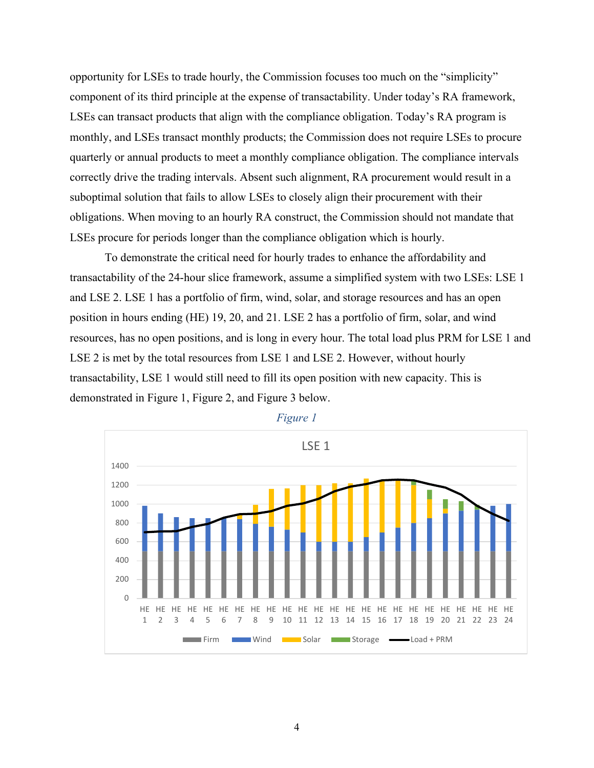opportunity for LSEs to trade hourly, the Commission focuses too much on the "simplicity" component of its third principle at the expense of transactability. Under today's RA framework, LSEs can transact products that align with the compliance obligation. Today's RA program is monthly, and LSEs transact monthly products; the Commission does not require LSEs to procure quarterly or annual products to meet a monthly compliance obligation. The compliance intervals correctly drive the trading intervals. Absent such alignment, RA procurement would result in a suboptimal solution that fails to allow LSEs to closely align their procurement with their obligations. When moving to an hourly RA construct, the Commission should not mandate that LSEs procure for periods longer than the compliance obligation which is hourly.

To demonstrate the critical need for hourly trades to enhance the affordability and transactability of the 24-hour slice framework, assume a simplified system with two LSEs: LSE 1 and LSE 2. LSE 1 has a portfolio of firm, wind, solar, and storage resources and has an open position in hours ending (HE) 19, 20, and 21. LSE 2 has a portfolio of firm, solar, and wind resources, has no open positions, and is long in every hour. The total load plus PRM for LSE 1 and LSE 2 is met by the total resources from LSE 1 and LSE 2. However, without hourly transactability, LSE 1 would still need to fill its open position with new capacity. This is demonstrated in [Figure 1,](#page-7-0) [Figure 2,](#page-8-0) and [Figure 3](#page-8-1) below.

<span id="page-7-0"></span>

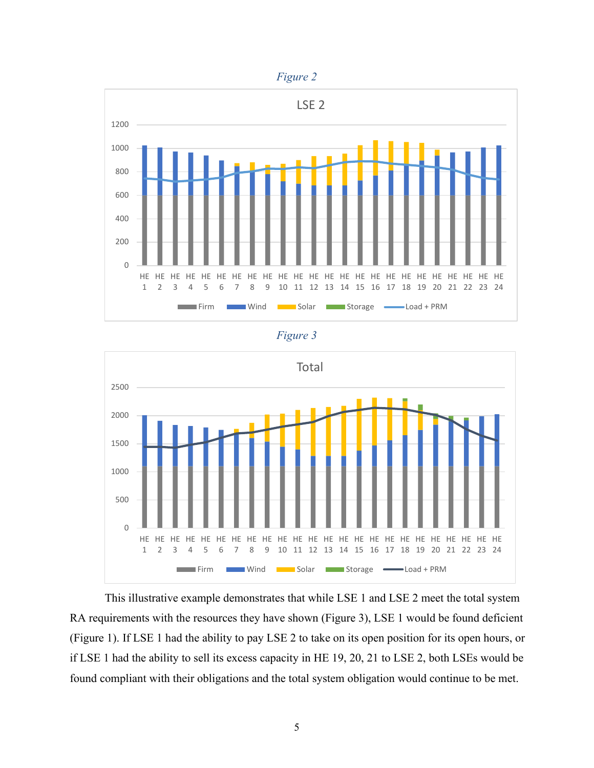

<span id="page-8-0"></span>

*Figure 3* 

<span id="page-8-1"></span>

This illustrative example demonstrates that while LSE 1 and LSE 2 meet the total system RA requirements with the resources they have shown (Figure 3), LSE 1 would be found deficient (Figure 1). If LSE 1 had the ability to pay LSE 2 to take on its open position for its open hours, or if LSE 1 had the ability to sell its excess capacity in HE 19, 20, 21 to LSE 2, both LSEs would be found compliant with their obligations and the total system obligation would continue to be met.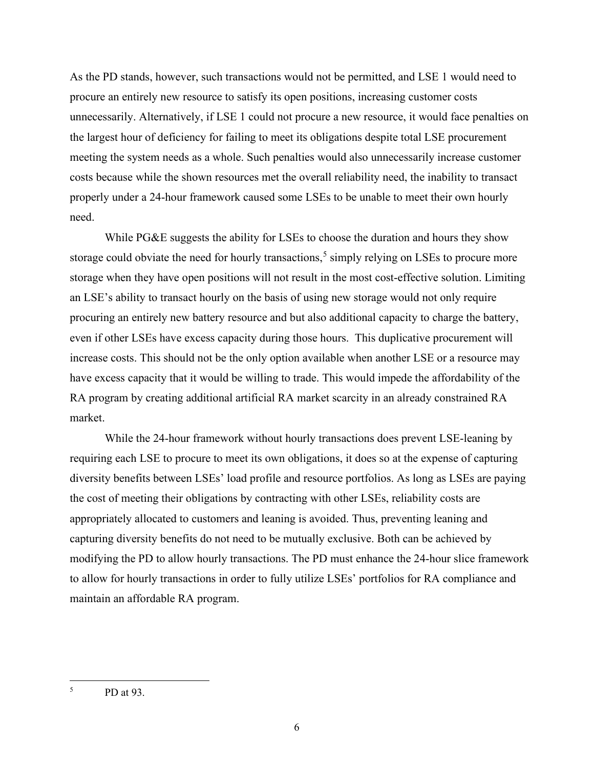As the PD stands, however, such transactions would not be permitted, and LSE 1 would need to procure an entirely new resource to satisfy its open positions, increasing customer costs unnecessarily. Alternatively, if LSE 1 could not procure a new resource, it would face penalties on the largest hour of deficiency for failing to meet its obligations despite total LSE procurement meeting the system needs as a whole. Such penalties would also unnecessarily increase customer costs because while the shown resources met the overall reliability need, the inability to transact properly under a 24-hour framework caused some LSEs to be unable to meet their own hourly need.

While PG&E suggests the ability for LSEs to choose the duration and hours they show storage could obviate the need for hourly transactions,<sup>[5](#page-9-0)</sup> simply relying on LSEs to procure more storage when they have open positions will not result in the most cost-effective solution. Limiting an LSE's ability to transact hourly on the basis of using new storage would not only require procuring an entirely new battery resource and but also additional capacity to charge the battery, even if other LSEs have excess capacity during those hours. This duplicative procurement will increase costs. This should not be the only option available when another LSE or a resource may have excess capacity that it would be willing to trade. This would impede the affordability of the RA program by creating additional artificial RA market scarcity in an already constrained RA market.

While the 24-hour framework without hourly transactions does prevent LSE-leaning by requiring each LSE to procure to meet its own obligations, it does so at the expense of capturing diversity benefits between LSEs' load profile and resource portfolios. As long as LSEs are paying the cost of meeting their obligations by contracting with other LSEs, reliability costs are appropriately allocated to customers and leaning is avoided. Thus, preventing leaning and capturing diversity benefits do not need to be mutually exclusive. Both can be achieved by modifying the PD to allow hourly transactions. The PD must enhance the 24-hour slice framework to allow for hourly transactions in order to fully utilize LSEs' portfolios for RA compliance and maintain an affordable RA program.

<span id="page-9-0"></span><sup>5</sup> PD at 93.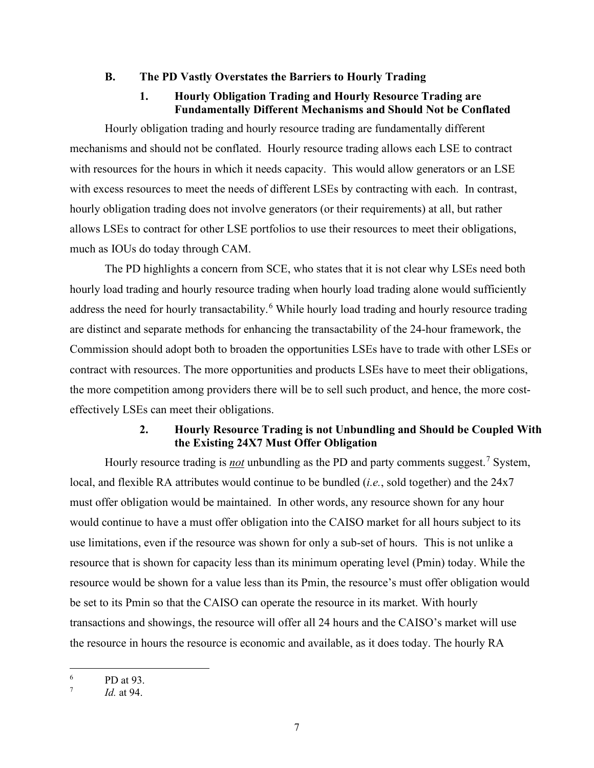#### <span id="page-10-0"></span>**B. The PD Vastly Overstates the Barriers to Hourly Trading**

# **1. Hourly Obligation Trading and Hourly Resource Trading are Fundamentally Different Mechanisms and Should Not be Conflated**

<span id="page-10-1"></span>Hourly obligation trading and hourly resource trading are fundamentally different mechanisms and should not be conflated. Hourly resource trading allows each LSE to contract with resources for the hours in which it needs capacity. This would allow generators or an LSE with excess resources to meet the needs of different LSEs by contracting with each. In contrast, hourly obligation trading does not involve generators (or their requirements) at all, but rather allows LSEs to contract for other LSE portfolios to use their resources to meet their obligations, much as IOUs do today through CAM.

The PD highlights a concern from SCE, who states that it is not clear why LSEs need both hourly load trading and hourly resource trading when hourly load trading alone would sufficiently address the need for hourly transactability.<sup>[6](#page-10-3)</sup> While hourly load trading and hourly resource trading are distinct and separate methods for enhancing the transactability of the 24-hour framework, the Commission should adopt both to broaden the opportunities LSEs have to trade with other LSEs or contract with resources. The more opportunities and products LSEs have to meet their obligations, the more competition among providers there will be to sell such product, and hence, the more costeffectively LSEs can meet their obligations.

### **2. Hourly Resource Trading is not Unbundling and Should be Coupled With the Existing 24X7 Must Offer Obligation**

<span id="page-10-2"></span>Hourly resource trading is *not* unbundling as the PD and party comments suggest.<sup>[7](#page-10-4)</sup> System, local, and flexible RA attributes would continue to be bundled (*i.e.*, sold together) and the 24x7 must offer obligation would be maintained. In other words, any resource shown for any hour would continue to have a must offer obligation into the CAISO market for all hours subject to its use limitations, even if the resource was shown for only a sub-set of hours. This is not unlike a resource that is shown for capacity less than its minimum operating level (Pmin) today. While the resource would be shown for a value less than its Pmin, the resource's must offer obligation would be set to its Pmin so that the CAISO can operate the resource in its market. With hourly transactions and showings, the resource will offer all 24 hours and the CAISO's market will use the resource in hours the resource is economic and available, as it does today. The hourly RA

<span id="page-10-3"></span><sup>6</sup> PD at 93.

<span id="page-10-4"></span><sup>7</sup> *Id.* at 94.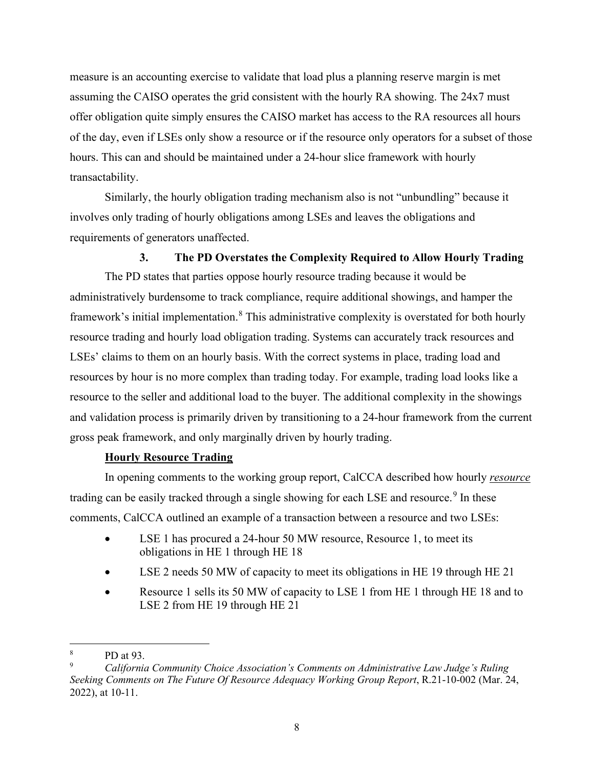measure is an accounting exercise to validate that load plus a planning reserve margin is met assuming the CAISO operates the grid consistent with the hourly RA showing. The 24x7 must offer obligation quite simply ensures the CAISO market has access to the RA resources all hours of the day, even if LSEs only show a resource or if the resource only operators for a subset of those hours. This can and should be maintained under a 24-hour slice framework with hourly transactability.

Similarly, the hourly obligation trading mechanism also is not "unbundling" because it involves only trading of hourly obligations among LSEs and leaves the obligations and requirements of generators unaffected.

#### **3. The PD Overstates the Complexity Required to Allow Hourly Trading**

<span id="page-11-0"></span>The PD states that parties oppose hourly resource trading because it would be administratively burdensome to track compliance, require additional showings, and hamper the framework's initial implementation.<sup>[8](#page-11-1)</sup> This administrative complexity is overstated for both hourly resource trading and hourly load obligation trading. Systems can accurately track resources and LSEs' claims to them on an hourly basis. With the correct systems in place, trading load and resources by hour is no more complex than trading today. For example, trading load looks like a resource to the seller and additional load to the buyer. The additional complexity in the showings and validation process is primarily driven by transitioning to a 24-hour framework from the current gross peak framework, and only marginally driven by hourly trading.

#### **Hourly Resource Trading**

In opening comments to the working group report, CalCCA described how hourly *resource*  trading can be easily tracked through a single showing for each LSE and resource.<sup>[9](#page-11-2)</sup> In these comments, CalCCA outlined an example of a transaction between a resource and two LSEs:

- LSE 1 has procured a 24-hour 50 MW resource, Resource 1, to meet its obligations in HE 1 through HE 18
- LSE 2 needs 50 MW of capacity to meet its obligations in HE 19 through HE 21
- Resource 1 sells its 50 MW of capacity to LSE 1 from HE 1 through HE 18 and to LSE 2 from HE 19 through HE 21

<span id="page-11-1"></span><sup>8</sup> PD at 93.

<span id="page-11-2"></span><sup>9</sup> *California Community Choice Association's Comments on Administrative Law Judge's Ruling Seeking Comments on The Future Of Resource Adequacy Working Group Report*, R.21-10-002 (Mar. 24, 2022), at 10-11.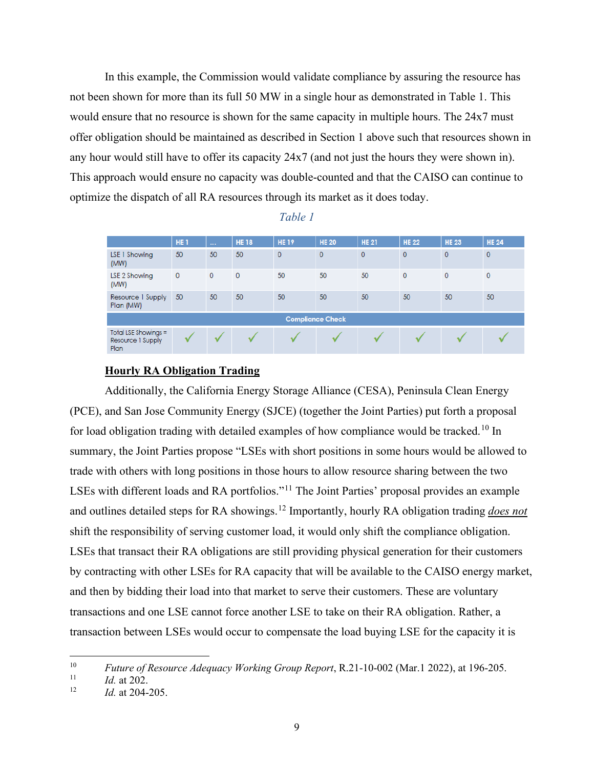In this example, the Commission would validate compliance by assuring the resource has not been shown for more than its full 50 MW in a single hour as demonstrated in [Table 1.](#page-12-0) This would ensure that no resource is shown for the same capacity in multiple hours. The 24x7 must offer obligation should be maintained as described in Section 1 above such that resources shown in any hour would still have to offer its capacity 24x7 (and not just the hours they were shown in). This approach would ensure no capacity was double-counted and that the CAISO can continue to optimize the dispatch of all RA resources through its market as it does today.

<span id="page-12-0"></span>

|                                                     | HE <sub>1</sub> | $\sim 100$   | <b>HE18</b>  | <b>HE19</b> | <b>HE 20</b> | <b>HE 21</b>   | <b>HE 22</b>   | <b>HE 23</b> | <b>HE 24</b>   |  |
|-----------------------------------------------------|-----------------|--------------|--------------|-------------|--------------|----------------|----------------|--------------|----------------|--|
| LSE 1 Showing<br>(MW)                               | 50              | 50           | 50           | $\Omega$    | $\mathbf{0}$ | $\overline{0}$ | $\overline{0}$ | $\mathbf{0}$ | $\overline{0}$ |  |
| LSE 2 Showing<br>(MW)                               | $\mathbf 0$     | $\mathbf{0}$ | $\mathbf{0}$ | 50          | 50           | 50             | $\mathbf{0}$   | $\circ$      | $\mathbf 0$    |  |
| Resource I Supply<br>Plan (MW)                      | 50              | 50           | 50           | 50          | 50           | 50             | 50             | 50           | 50             |  |
| <b>Compliance Check</b>                             |                 |              |              |             |              |                |                |              |                |  |
| Total LSE Showings $=$<br>Resource 1 Supply<br>Plan |                 |              |              |             |              |                |                |              |                |  |

#### *Table 1*

#### **Hourly RA Obligation Trading**

Additionally, the California Energy Storage Alliance (CESA), Peninsula Clean Energy (PCE), and San Jose Community Energy (SJCE) (together the Joint Parties) put forth a proposal for load obligation trading with detailed examples of how compliance would be tracked.<sup>[10](#page-12-1)</sup> In summary, the Joint Parties propose "LSEs with short positions in some hours would be allowed to trade with others with long positions in those hours to allow resource sharing between the two LSEs with different loads and RA portfolios."<sup>11</sup> The Joint Parties' proposal provides an example and outlines detailed steps for RA showings.[12](#page-12-3) Importantly, hourly RA obligation trading *does not* shift the responsibility of serving customer load, it would only shift the compliance obligation. LSEs that transact their RA obligations are still providing physical generation for their customers by contracting with other LSEs for RA capacity that will be available to the CAISO energy market, and then by bidding their load into that market to serve their customers. These are voluntary transactions and one LSE cannot force another LSE to take on their RA obligation. Rather, a transaction between LSEs would occur to compensate the load buying LSE for the capacity it is

<span id="page-12-1"></span><sup>&</sup>lt;sup>10</sup> *Future of Resource Adequacy Working Group Report*, R.21-10-002 (Mar.1 2022), at 196-205.

<span id="page-12-2"></span> $\frac{11}{12}$  *Id.* at 202.

<span id="page-12-3"></span><sup>12</sup> *Id.* at 204-205.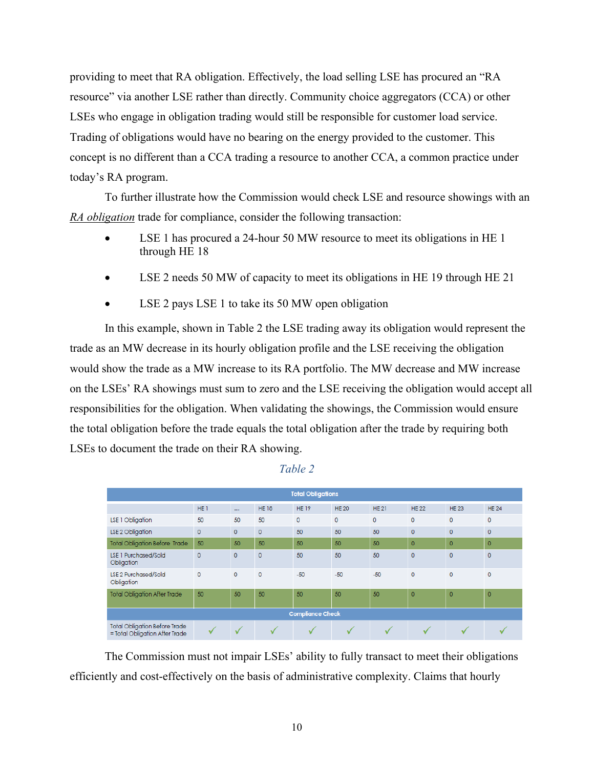providing to meet that RA obligation. Effectively, the load selling LSE has procured an "RA resource" via another LSE rather than directly. Community choice aggregators (CCA) or other LSEs who engage in obligation trading would still be responsible for customer load service. Trading of obligations would have no bearing on the energy provided to the customer. This concept is no different than a CCA trading a resource to another CCA, a common practice under today's RA program.

To further illustrate how the Commission would check LSE and resource showings with an *RA obligation* trade for compliance, consider the following transaction:

- LSE 1 has procured a 24-hour 50 MW resource to meet its obligations in HE 1 through HE 18
- LSE 2 needs 50 MW of capacity to meet its obligations in HE 19 through HE 21
- LSE 2 pays LSE 1 to take its 50 MW open obligation

In this example, shown in [Table 2](#page-13-0) the LSE trading away its obligation would represent the trade as an MW decrease in its hourly obligation profile and the LSE receiving the obligation would show the trade as a MW increase to its RA portfolio. The MW decrease and MW increase on the LSEs' RA showings must sum to zero and the LSE receiving the obligation would accept all responsibilities for the obligation. When validating the showings, the Commission would ensure the total obligation before the trade equals the total obligation after the trade by requiring both LSEs to document the trade on their RA showing.

<span id="page-13-0"></span>

| <b>Total Obligations</b>                                               |                 |              |             |              |              |             |              |                |                |
|------------------------------------------------------------------------|-----------------|--------------|-------------|--------------|--------------|-------------|--------------|----------------|----------------|
|                                                                        | HE <sub>1</sub> | $\cdots$     | <b>HE18</b> | <b>HE19</b>  | <b>HE 20</b> | <b>HE21</b> | <b>HE22</b>  | <b>HE23</b>    | <b>HE24</b>    |
| LSE 1 Obligation                                                       | 50              | 50           | 50          | $\mathbf{0}$ | $\mathbf{O}$ | $\mathbf 0$ | $\mathbf 0$  | $\mathbf{0}$   | $\circ$        |
| LSE 2 Obligation                                                       | $\mathbf{0}$    | $\mathbf{O}$ | $\circ$     | 50           | 50           | 50          | $\mathbf{0}$ | $\mathbf{0}$   | $\mathbf{0}$   |
| <b>Total Obligation Before Trade</b>                                   | 50              | 50           | 50          | 50           | 50           | 50          | $\mathbf 0$  | $\overline{0}$ | $\overline{0}$ |
| <b>LSE 1 Purchased/Sold</b><br>Obligation                              | $\overline{0}$  | $\circ$      | $\circ$     | 50           | 50           | 50          | $\circ$      | $\Omega$       | $\circ$        |
| <b>LSE 2 Purchased/Sold</b><br>Obligation                              | $\circ$         | $\circ$      | $\circ$     | $-50$        | $-50$        | $-50$       | $\mathbf 0$  | $\circ$        | $\mathbf{0}$   |
| <b>Total Obligation After Trade</b>                                    | 50              | 50           | 50          | 50           | 50           | 50          | $\mathbf{0}$ | $\circ$        | $\mathbf 0$    |
| <b>Compliance Check</b>                                                |                 |              |             |              |              |             |              |                |                |
| <b>Total Obligation Before Trade</b><br>= Total Obligation After Trade |                 |              |             |              |              |             |              |                |                |

*Table 2*

The Commission must not impair LSEs' ability to fully transact to meet their obligations efficiently and cost-effectively on the basis of administrative complexity. Claims that hourly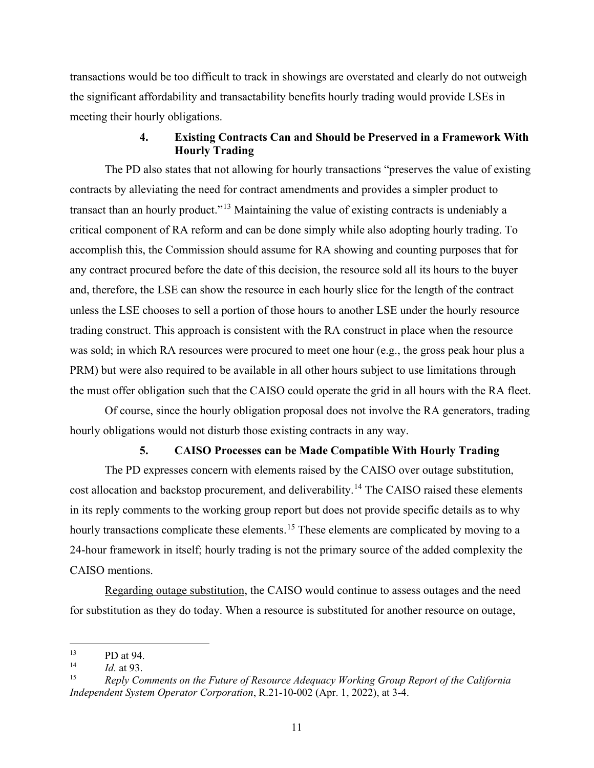transactions would be too difficult to track in showings are overstated and clearly do not outweigh the significant affordability and transactability benefits hourly trading would provide LSEs in meeting their hourly obligations.

#### **4. Existing Contracts Can and Should be Preserved in a Framework With Hourly Trading**

<span id="page-14-0"></span>The PD also states that not allowing for hourly transactions "preserves the value of existing contracts by alleviating the need for contract amendments and provides a simpler product to transact than an hourly product."<sup>[13](#page-14-2)</sup> Maintaining the value of existing contracts is undeniably a critical component of RA reform and can be done simply while also adopting hourly trading. To accomplish this, the Commission should assume for RA showing and counting purposes that for any contract procured before the date of this decision, the resource sold all its hours to the buyer and, therefore, the LSE can show the resource in each hourly slice for the length of the contract unless the LSE chooses to sell a portion of those hours to another LSE under the hourly resource trading construct. This approach is consistent with the RA construct in place when the resource was sold; in which RA resources were procured to meet one hour (e.g., the gross peak hour plus a PRM) but were also required to be available in all other hours subject to use limitations through the must offer obligation such that the CAISO could operate the grid in all hours with the RA fleet.

Of course, since the hourly obligation proposal does not involve the RA generators, trading hourly obligations would not disturb those existing contracts in any way.

#### **5. CAISO Processes can be Made Compatible With Hourly Trading**

<span id="page-14-1"></span>The PD expresses concern with elements raised by the CAISO over outage substitution, cost allocation and backstop procurement, and deliverability.<sup>[14](#page-14-3)</sup> The CAISO raised these elements in its reply comments to the working group report but does not provide specific details as to why hourly transactions complicate these elements.<sup>[15](#page-14-4)</sup> These elements are complicated by moving to a 24-hour framework in itself; hourly trading is not the primary source of the added complexity the CAISO mentions.

Regarding outage substitution, the CAISO would continue to assess outages and the need for substitution as they do today. When a resource is substituted for another resource on outage,

<span id="page-14-2"></span> $\frac{13}{14}$  PD at 94.

<span id="page-14-3"></span><sup>&</sup>lt;sup>14</sup> *Id.* at 93.

<span id="page-14-4"></span><sup>15</sup> *Reply Comments on the Future of Resource Adequacy Working Group Report of the California Independent System Operator Corporation*, R.21-10-002 (Apr. 1, 2022), at 3-4.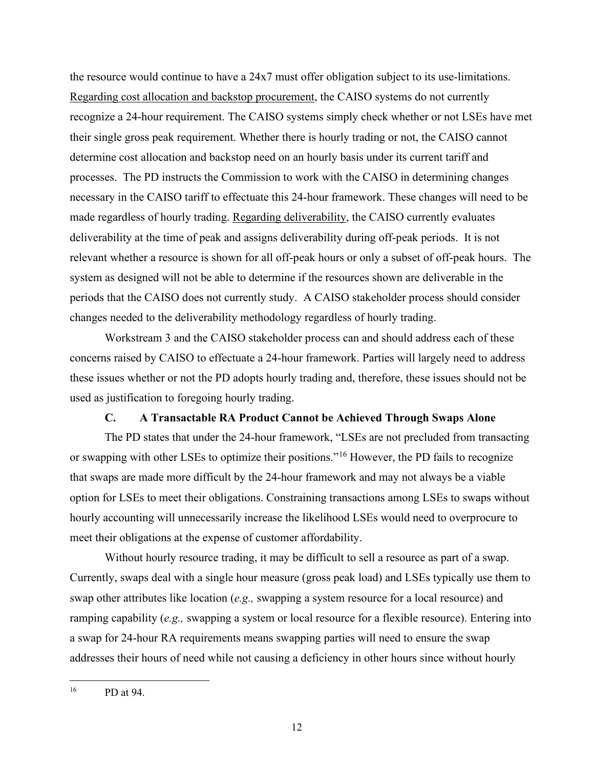the resource would continue to have a 24x7 must offer obligation subject to its use-limitations. Regarding cost allocation and backstop procurement, the CAISO systems do not currently recognize a 24-hour requirement. The CAISO systems simply check whether or not LSEs have met their single gross peak requirement. Whether there is hourly trading or not, the CAISO cannot determine cost allocation and backstop need on an hourly basis under its current tariff and processes. The PD instructs the Commission to work with the CAISO in determining changes necessary in the CAISO tariff to effectuate this 24-hour framework. These changes will need to be made regardless of hourly trading. Regarding deliverability, the CAISO currently evaluates deliverability at the time of peak and assigns deliverability during off-peak periods. It is not relevant whether a resource is shown for all off-peak hours or only a subset of off-peak hours. The system as designed will not be able to determine if the resources shown are deliverable in the periods that the CAISO does not currently study. A CAISO stakeholder process should consider changes needed to the deliverability methodology regardless of hourly trading.

Workstream 3 and the CAISO stakeholder process can and should address each of these concerns raised by CAISO to effectuate a 24-hour framework. Parties will largely need to address these issues whether or not the PD adopts hourly trading and, therefore, these issues should not be used as justification to foregoing hourly trading.

#### **C. A Transactable RA Product Cannot be Achieved Through Swaps Alone**

<span id="page-15-0"></span>The PD states that under the 24-hour framework, "LSEs are not precluded from transacting or swapping with other LSEs to optimize their positions."[16](#page-15-1) However, the PD fails to recognize that swaps are made more difficult by the 24-hour framework and may not always be a viable option for LSEs to meet their obligations. Constraining transactions among LSEs to swaps without hourly accounting will unnecessarily increase the likelihood LSEs would need to overprocure to meet their obligations at the expense of customer affordability.

Without hourly resource trading, it may be difficult to sell a resource as part of a swap. Currently, swaps deal with a single hour measure (gross peak load) and LSEs typically use them to swap other attributes like location (*e.g.,* swapping a system resource for a local resource) and ramping capability (*e.g.,* swapping a system or local resource for a flexible resource). Entering into a swap for 24-hour RA requirements means swapping parties will need to ensure the swap addresses their hours of need while not causing a deficiency in other hours since without hourly

<span id="page-15-1"></span><sup>16</sup> PD at 94.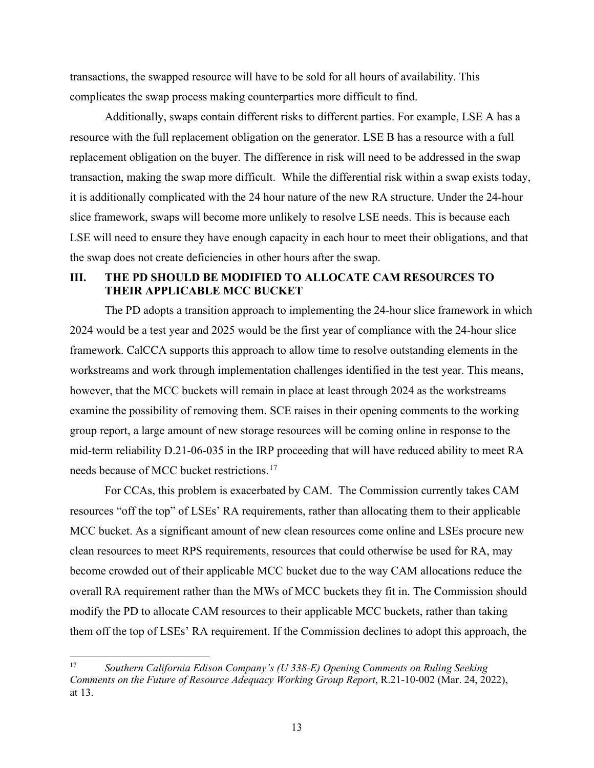transactions, the swapped resource will have to be sold for all hours of availability. This complicates the swap process making counterparties more difficult to find.

Additionally, swaps contain different risks to different parties. For example, LSE A has a resource with the full replacement obligation on the generator. LSE B has a resource with a full replacement obligation on the buyer. The difference in risk will need to be addressed in the swap transaction, making the swap more difficult. While the differential risk within a swap exists today, it is additionally complicated with the 24 hour nature of the new RA structure. Under the 24-hour slice framework, swaps will become more unlikely to resolve LSE needs. This is because each LSE will need to ensure they have enough capacity in each hour to meet their obligations, and that the swap does not create deficiencies in other hours after the swap.

### <span id="page-16-0"></span>**III. THE PD SHOULD BE MODIFIED TO ALLOCATE CAM RESOURCES TO THEIR APPLICABLE MCC BUCKET**

The PD adopts a transition approach to implementing the 24-hour slice framework in which 2024 would be a test year and 2025 would be the first year of compliance with the 24-hour slice framework. CalCCA supports this approach to allow time to resolve outstanding elements in the workstreams and work through implementation challenges identified in the test year. This means, however, that the MCC buckets will remain in place at least through 2024 as the workstreams examine the possibility of removing them. SCE raises in their opening comments to the working group report, a large amount of new storage resources will be coming online in response to the mid-term reliability D.21-06-035 in the IRP proceeding that will have reduced ability to meet RA needs because of MCC bucket restrictions.[17](#page-16-1) 

For CCAs, this problem is exacerbated by CAM. The Commission currently takes CAM resources "off the top" of LSEs' RA requirements, rather than allocating them to their applicable MCC bucket. As a significant amount of new clean resources come online and LSEs procure new clean resources to meet RPS requirements, resources that could otherwise be used for RA, may become crowded out of their applicable MCC bucket due to the way CAM allocations reduce the overall RA requirement rather than the MWs of MCC buckets they fit in. The Commission should modify the PD to allocate CAM resources to their applicable MCC buckets, rather than taking them off the top of LSEs' RA requirement. If the Commission declines to adopt this approach, the

<span id="page-16-1"></span><sup>17</sup> *Southern California Edison Company's (U 338-E) Opening Comments on Ruling Seeking Comments on the Future of Resource Adequacy Working Group Report*, R.21-10-002 (Mar. 24, 2022), at 13.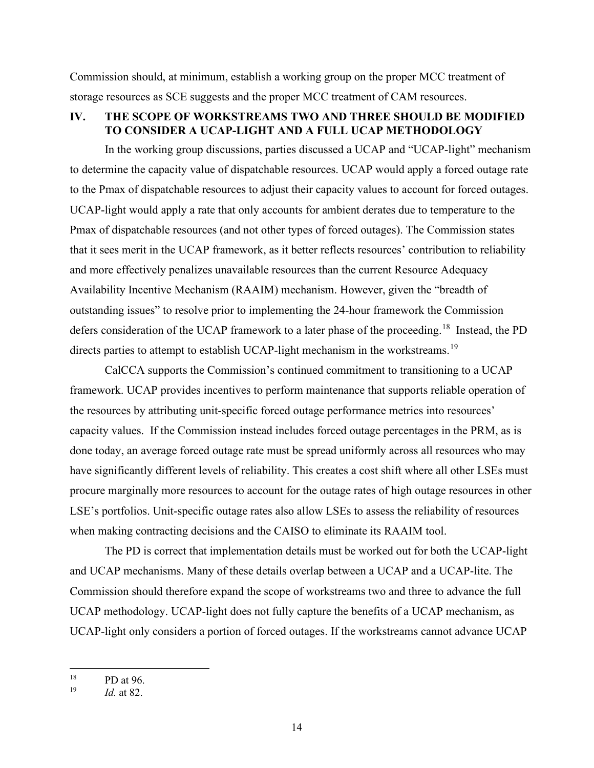Commission should, at minimum, establish a working group on the proper MCC treatment of storage resources as SCE suggests and the proper MCC treatment of CAM resources.

### <span id="page-17-0"></span>**IV. THE SCOPE OF WORKSTREAMS TWO AND THREE SHOULD BE MODIFIED TO CONSIDER A UCAP-LIGHT AND A FULL UCAP METHODOLOGY**

In the working group discussions, parties discussed a UCAP and "UCAP-light" mechanism to determine the capacity value of dispatchable resources. UCAP would apply a forced outage rate to the Pmax of dispatchable resources to adjust their capacity values to account for forced outages. UCAP-light would apply a rate that only accounts for ambient derates due to temperature to the Pmax of dispatchable resources (and not other types of forced outages). The Commission states that it sees merit in the UCAP framework, as it better reflects resources' contribution to reliability and more effectively penalizes unavailable resources than the current Resource Adequacy Availability Incentive Mechanism (RAAIM) mechanism. However, given the "breadth of outstanding issues" to resolve prior to implementing the 24-hour framework the Commission defers consideration of the UCAP framework to a later phase of the proceeding.<sup>[18](#page-17-1)</sup> Instead, the PD directs parties to attempt to establish UCAP-light mechanism in the workstreams.<sup>[19](#page-17-2)</sup>

CalCCA supports the Commission's continued commitment to transitioning to a UCAP framework. UCAP provides incentives to perform maintenance that supports reliable operation of the resources by attributing unit-specific forced outage performance metrics into resources' capacity values. If the Commission instead includes forced outage percentages in the PRM, as is done today, an average forced outage rate must be spread uniformly across all resources who may have significantly different levels of reliability. This creates a cost shift where all other LSEs must procure marginally more resources to account for the outage rates of high outage resources in other LSE's portfolios. Unit-specific outage rates also allow LSEs to assess the reliability of resources when making contracting decisions and the CAISO to eliminate its RAAIM tool.

The PD is correct that implementation details must be worked out for both the UCAP-light and UCAP mechanisms. Many of these details overlap between a UCAP and a UCAP-lite. The Commission should therefore expand the scope of workstreams two and three to advance the full UCAP methodology. UCAP-light does not fully capture the benefits of a UCAP mechanism, as UCAP-light only considers a portion of forced outages. If the workstreams cannot advance UCAP

<span id="page-17-1"></span> $^{18}$  PD at 96.<br> $^{19}$  *Id at 82* 

<span id="page-17-2"></span>*Id.* at 82.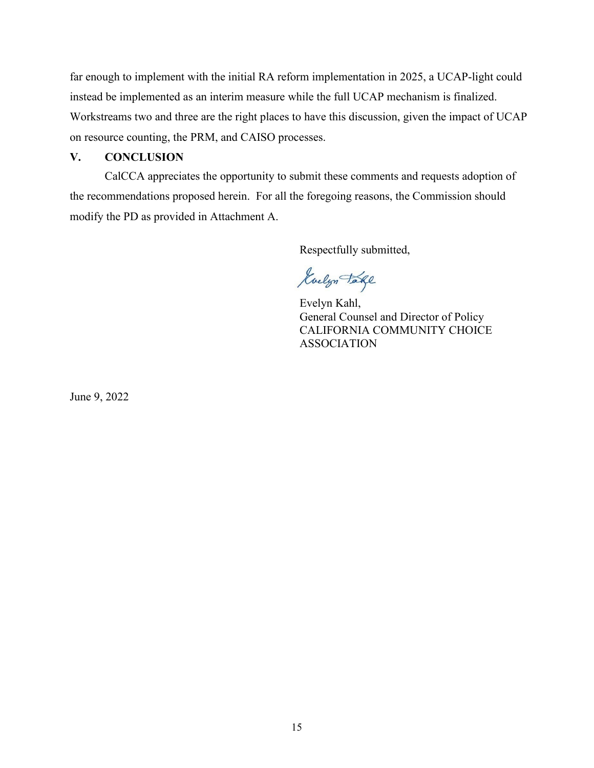far enough to implement with the initial RA reform implementation in 2025, a UCAP-light could instead be implemented as an interim measure while the full UCAP mechanism is finalized. Workstreams two and three are the right places to have this discussion, given the impact of UCAP on resource counting, the PRM, and CAISO processes.

### <span id="page-18-0"></span>**V. CONCLUSION**

CalCCA appreciates the opportunity to submit these comments and requests adoption of the recommendations proposed herein. For all the foregoing reasons, the Commission should modify the PD as provided in Attachment A.

Respectfully submitted,

Guelyn Take

Evelyn Kahl, General Counsel and Director of Policy CALIFORNIA COMMUNITY CHOICE ASSOCIATION

June 9, 2022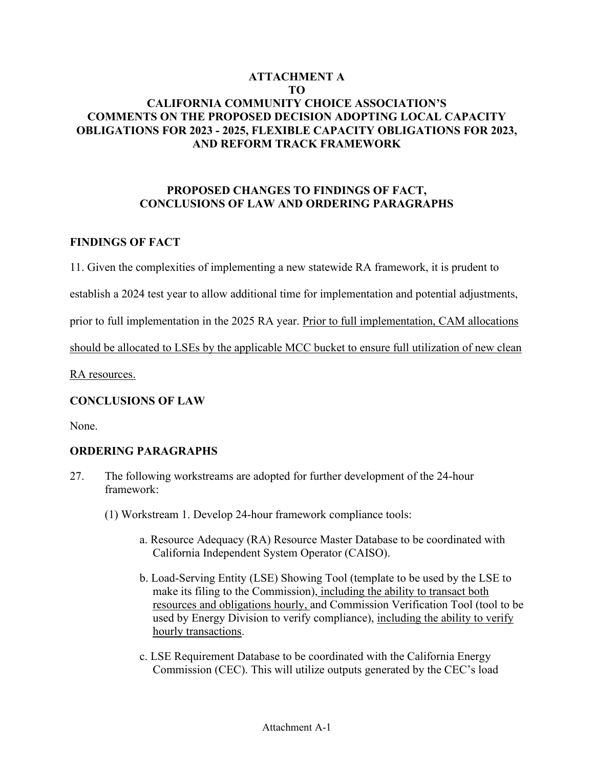# **ATTACHMENT A TO CALIFORNIA COMMUNITY CHOICE ASSOCIATION'S COMMENTS ON THE PROPOSED DECISION ADOPTING LOCAL CAPACITY OBLIGATIONS FOR 2023 - 2025, FLEXIBLE CAPACITY OBLIGATIONS FOR 2023, AND REFORM TRACK FRAMEWORK**

# **PROPOSED CHANGES TO FINDINGS OF FACT, CONCLUSIONS OF LAW AND ORDERING PARAGRAPHS**

# **FINDINGS OF FACT**

11. Given the complexities of implementing a new statewide RA framework, it is prudent to

establish a 2024 test year to allow additional time for implementation and potential adjustments,

prior to full implementation in the 2025 RA year. Prior to full implementation, CAM allocations

should be allocated to LSEs by the applicable MCC bucket to ensure full utilization of new clean

RA resources.

# **CONCLUSIONS OF LAW**

None.

# **ORDERING PARAGRAPHS**

- 27. The following workstreams are adopted for further development of the 24-hour framework:
	- (1) Workstream 1. Develop 24-hour framework compliance tools:
		- a. Resource Adequacy (RA) Resource Master Database to be coordinated with California Independent System Operator (CAISO).
		- b. Load-Serving Entity (LSE) Showing Tool (template to be used by the LSE to make its filing to the Commission), including the ability to transact both resources and obligations hourly, and Commission Verification Tool (tool to be used by Energy Division to verify compliance), including the ability to verify hourly transactions.
		- c. LSE Requirement Database to be coordinated with the California Energy Commission (CEC). This will utilize outputs generated by the CEC's load